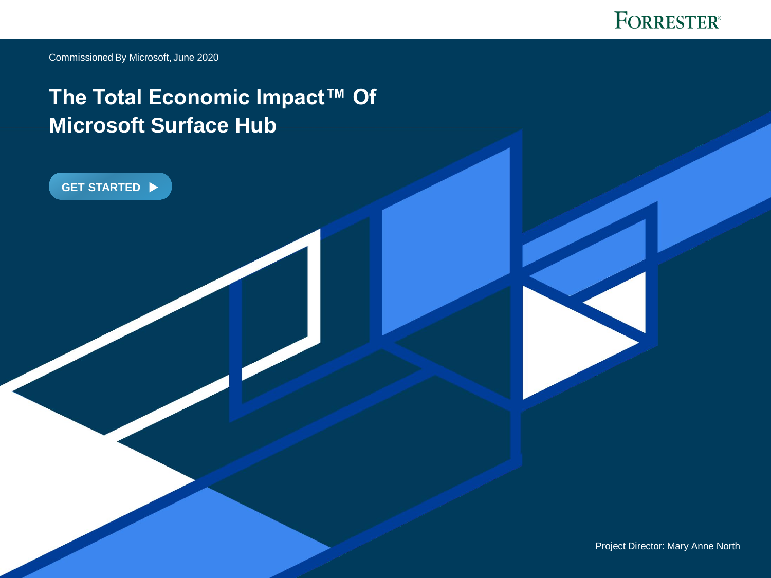

Commissioned By Microsoft, June 2020

**[GET STARTED](#page-1-0)**

**FORRESTER.COM**

# **The Total Economic Impact™ Of Microsoft Surface Hub**

Project Director: Mary Anne North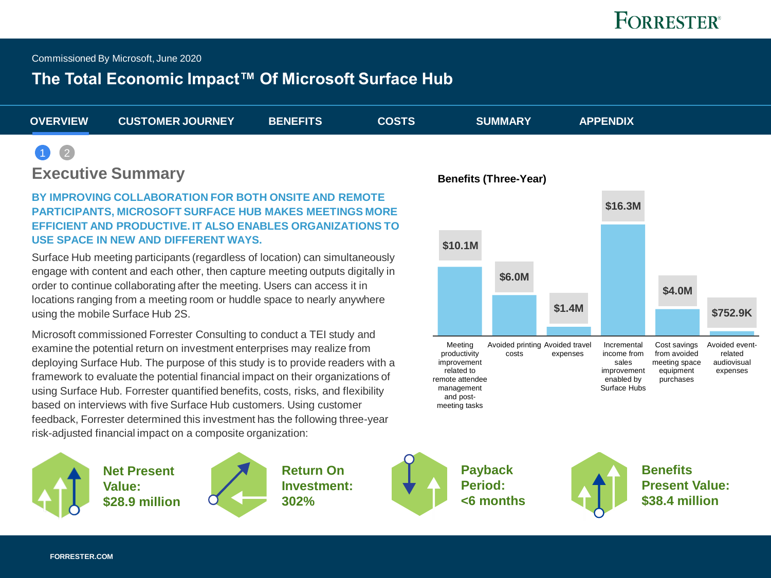<span id="page-1-0"></span>Commissioned By Microsoft, June 2020

## **The Total Economic Impact™ Of Microsoft Surface Hub**

| <b>OVERVIEW</b> | <b>CUSTOMER JOURNEY</b> | <b>BENEFITS</b> | <b>COSTS</b> | <b>SUMMARY</b> | <b>APPENDIX</b> |  |
|-----------------|-------------------------|-----------------|--------------|----------------|-----------------|--|
| $\bullet$ 2     |                         |                 |              |                |                 |  |

#### **Executive Summary**

#### **BY IMPROVING COLLABORATION FOR BOTH ONSITE AND REMOTE PARTICIPANTS, MICROSOFT SURFACE HUB MAKES MEETINGS MORE EFFICIENT AND PRODUCTIVE. IT ALSO ENABLES ORGANIZATIONS TO USE SPACE IN NEW AND DIFFERENT WAYS.**

Surface Hub meeting participants (regardless of location) can simultaneously engage with content and each other, then capture meeting outputs digitally in order to continue collaborating after the meeting. Users can access it in locations ranging from a meeting room or huddle space to nearly anywhere using the mobile Surface Hub 2S.

Microsoft commissioned Forrester Consulting to conduct a TEI study and examine the potential return on investment enterprises may realize from deploying Surface Hub. The purpose of this study is to provide readers with a framework to evaluate the potential financial impact on their organizations of using Surface Hub. Forrester quantified benefits, costs, risks, and flexibility based on interviews with five Surface Hub customers. Using customer feedback, Forrester determined this investment has the following three-year risk-adjusted financial impact on a composite organization:



**Net Present Value: \$28.9 million**



**Return On Investment: 302%**



**Payback Period: <6 months** 



**Benefits Present Value: \$38.4 million** 

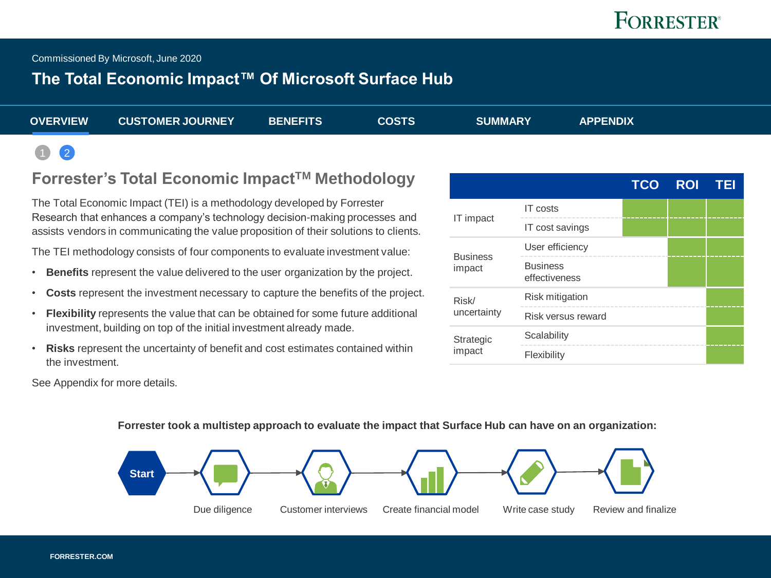# **FORRESTER**<sup>®</sup>

<span id="page-2-0"></span>Commissioned By Microsoft, June 2020

### **The Total Economic Impact™ Of Microsoft Surface Hub**

| <b>OVERVIEW</b>                                                    | <b>CUSTOMER JOURNEY</b> | <b>BENEFITS</b> | <b>COSTS</b> | <b>SUMMARY</b> | <b>APPENDIX</b> |  |
|--------------------------------------------------------------------|-------------------------|-----------------|--------------|----------------|-----------------|--|
| $\begin{array}{ c c c }\n\hline\n\text{1} & \text{2}\n\end{array}$ |                         |                 |              |                |                 |  |

### **Forrester's Total Economic ImpactTM Methodology**

The Total Economic Impact (TEI) is a methodology developed by Forrester Research that enhances a company's technology decision-making processes and assists vendors in communicating the value proposition of their solutions to clients.

The TEI methodology consists of four components to evaluate investment value:

- **Benefits** represent the value delivered to the user organization by the project.
- **Costs** represent the investment necessary to capture the benefits of the project.
- **Flexibility** represents the value that can be obtained for some future additional investment, building on top of the initial investment already made.
- **Risks** represent the uncertainty of benefit and cost estimates contained within the investment.

|                 |                                  | <b>TCO</b> | <b>ROI</b> | <b>TEI</b> |
|-----------------|----------------------------------|------------|------------|------------|
|                 | <b>IT</b> costs                  |            |            |            |
| IT impact       | IT cost savings                  |            |            |            |
| <b>Business</b> | User efficiency                  |            |            |            |
| impact          | <b>Business</b><br>effectiveness |            |            |            |
| Risk/           | <b>Risk mitigation</b>           |            |            |            |
| uncertainty     | Risk versus reward               |            |            |            |
| Strategic       | Scalability                      |            |            |            |
| impact          | Flexibility                      |            |            |            |

See Appendix for more details.

#### **Forrester took a multistep approach to evaluate the impact that Surface Hub can have on an organization:**

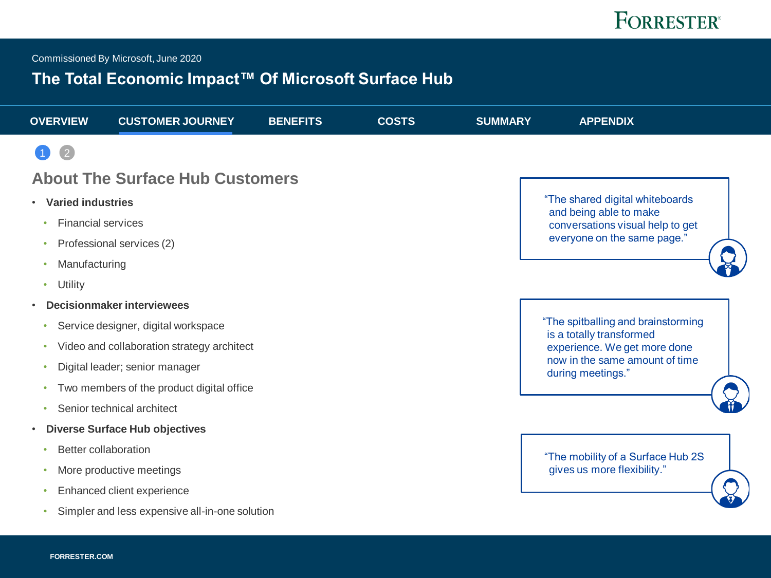<span id="page-3-0"></span>Commissioned By Microsoft, June 2020

## **The Total Economic Impact™ Of Microsoft Surface Hub**

| <b>OVERVIEW</b>                       | <b>CUSTOMER JOURNEY</b>                        | <b>BENEFITS</b> | <b>COSTS</b> | <b>SUMMARY</b> | <b>APPENDIX</b>                                                |
|---------------------------------------|------------------------------------------------|-----------------|--------------|----------------|----------------------------------------------------------------|
|                                       |                                                |                 |              |                |                                                                |
|                                       | <b>About The Surface Hub Customers</b>         |                 |              |                |                                                                |
| <b>Varied industries</b><br>$\bullet$ |                                                |                 |              |                | "The shared digital whiteboards                                |
| <b>Financial services</b><br>٠        |                                                |                 |              |                | and being able to make<br>conversations visual help to get     |
| $\bullet$                             | Professional services (2)                      |                 |              |                | everyone on the same page."                                    |
| Manufacturing                         |                                                |                 |              |                |                                                                |
| Utility<br>۰                          |                                                |                 |              |                |                                                                |
| $\bullet$                             | <b>Decisionmaker interviewees</b>              |                 |              |                |                                                                |
| ٠                                     | Service designer, digital workspace            |                 |              |                | "The spitballing and brainstorming<br>is a totally transformed |
| ٠                                     | Video and collaboration strategy architect     |                 |              |                | experience. We get more done                                   |
| ٠                                     | Digital leader; senior manager                 |                 |              |                | now in the same amount of time<br>during meetings."            |
| ٠                                     | Two members of the product digital office      |                 |              |                |                                                                |
| ۰                                     | Senior technical architect                     |                 |              |                |                                                                |
| $\bullet$                             | <b>Diverse Surface Hub objectives</b>          |                 |              |                |                                                                |
| <b>Better collaboration</b>           |                                                |                 |              |                | "The mobility of a Surface Hub 2S                              |
| $\bullet$                             | More productive meetings                       |                 |              |                | gives us more flexibility."                                    |
| ٠                                     | Enhanced client experience                     |                 |              |                |                                                                |
|                                       | Simpler and less expensive all-in-one solution |                 |              |                |                                                                |
|                                       |                                                |                 |              |                |                                                                |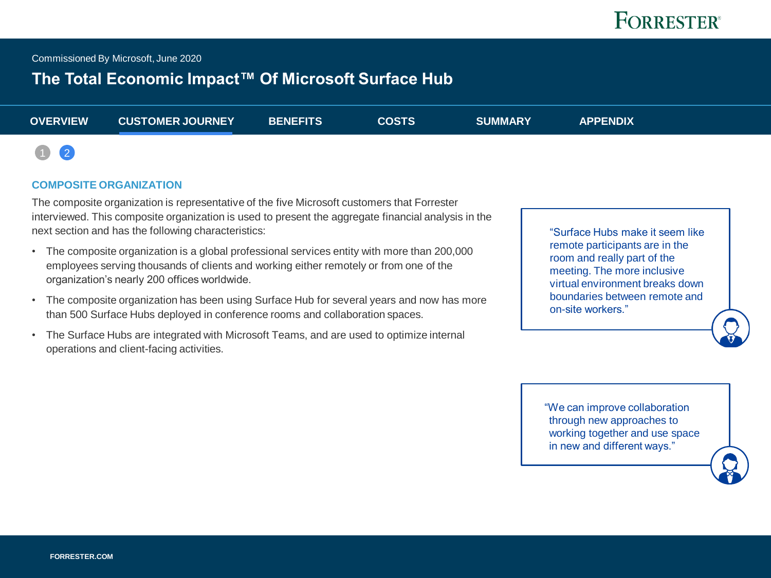<span id="page-4-0"></span>Commissioned By Microsoft, June 2020

## **The Total Economic Impact™ Of Microsoft Surface Hub**

| <b>OVERVIEW</b>                                              | <b>CUSTOMER JOURNEY</b> | <b>BENEFITS</b> | COSTS | <b>SUMMARY</b> | <b>APPENDIX</b> |  |
|--------------------------------------------------------------|-------------------------|-----------------|-------|----------------|-----------------|--|
| $\begin{array}{ c c c c }\hline 1 & 2 \\ \hline \end{array}$ |                         |                 |       |                |                 |  |

#### **COMPOSITE ORGANIZATION**

The composite organization is representative of the five Microsoft customers that Forrester interviewed. This composite organization is used to present the aggregate financial analysis in the next section and has the following characteristics:

- The composite organization is a global professional services entity with more than 200,000 employees serving thousands of clients and working either remotely or from one of the organization's nearly 200 offices worldwide.
- The composite organization has been using Surface Hub for several years and now has more than 500 Surface Hubs deployed in conference rooms and collaboration spaces.
- The Surface Hubs are integrated with Microsoft Teams, and are used to optimize internal operations and client-facing activities.

"Surface Hubs make it seem like remote participants are in the room and really part of the meeting. The more inclusive virtual environment breaks down boundaries between remote and on-site workers."

"We can improve collaboration through new approaches to working together and use space in new and different ways."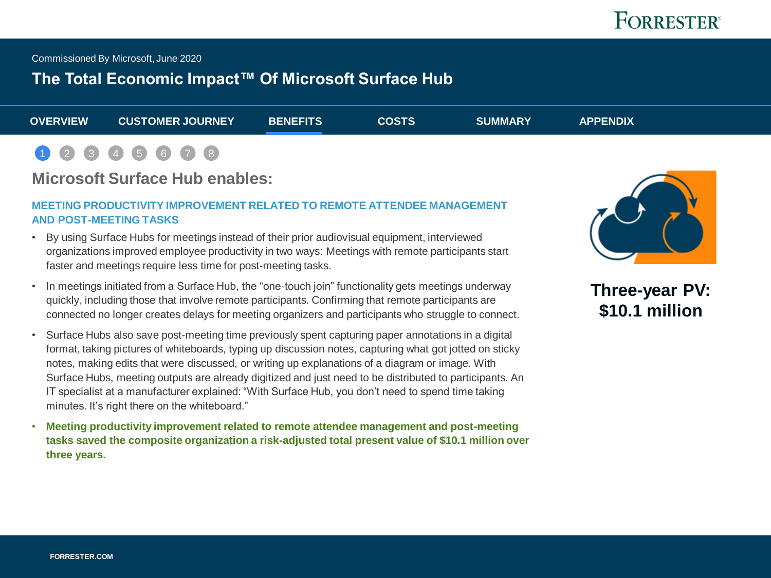<span id="page-5-0"></span>Commissioned By Microsoft, June 2020

### **The Total Economic Impact™ Of Microsoft Surface Hub**

| <b>OVERVIEW</b> | <b>CUSTOMER JOURNEY</b> | <b>BENEFITS</b> | <b>COSTS</b> | <b>SUMMARY</b> | <b>APPENDIX</b> |
|-----------------|-------------------------|-----------------|--------------|----------------|-----------------|
|                 |                         |                 |              |                |                 |

#### $1)$   $(2)$  $(2)$  $(2)$   $(3)$  $(3)$  $(3)$ [4](#page-5-0) [5](#page-15-0) [6](#page-15-0) [7](#page-15-0) [8](#page-15-0)

#### **Microsoft Surface Hub enables:**

#### **MEETING PRODUCTIVITY IMPROVEMENT RELATED TO REMOTE ATTENDEE MANAGEMENT AND POST-MEETING TASKS**

- By using Surface Hubs for meetings instead of their prior audiovisual equipment, interviewed organizations improved employee productivity in two ways: Meetings with remote participants start faster and meetings require less time for post-meeting tasks.
- In meetings initiated from a Surface Hub, the "one-touch join" functionality gets meetings underway quickly, including those that involve remote participants. Confirming that remote participants are connected no longer creates delays for meeting organizers and participants who struggle to connect.
- Surface Hubs also save post-meeting time previously spent capturing paper annotations in a digital format, taking pictures of whiteboards, typing up discussion notes, capturing what got jotted on sticky notes, making edits that were discussed, or writing up explanations of a diagram or image. With Surface Hubs, meeting outputs are already digitized and just need to be distributed to participants. An IT specialist at a manufacturer explained: "With Surface Hub, you don't need to spend time taking minutes. It's right there on the whiteboard."
- **Meeting productivity improvement related to remote attendee management and post-meeting tasks saved the composite organization a risk-adjusted total present value of \$10.1 million over three years.**



**Three-year PV: \$10.1 million**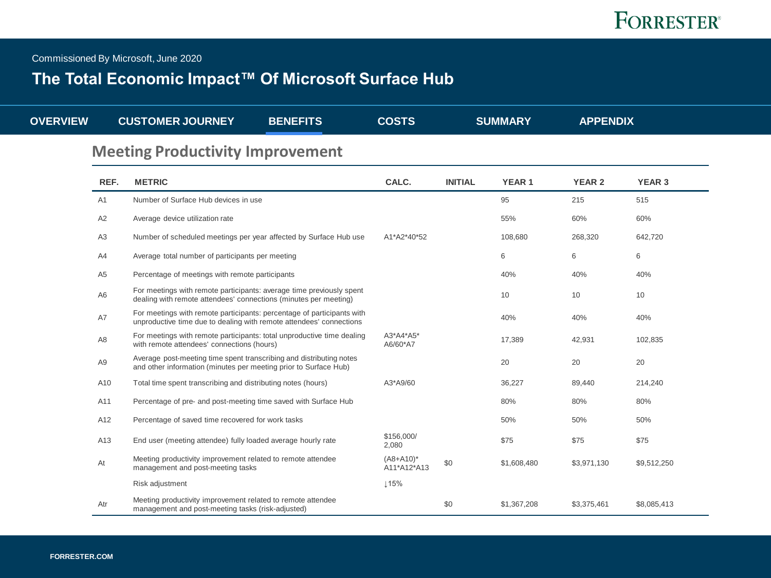Commissioned By Microsoft, June 2020

## **The Total Economic Impact™ Of Microsoft Surface Hub**

| <b>OVERVIEW</b> |                | <b>CUSTOMER JOURNEY</b>                                                                                                                       | <b>BENEFITS</b> | <b>COSTS</b>                |                | <b>SUMMARY</b> | <b>APPENDIX</b> |               |
|-----------------|----------------|-----------------------------------------------------------------------------------------------------------------------------------------------|-----------------|-----------------------------|----------------|----------------|-----------------|---------------|
|                 |                | <b>Meeting Productivity Improvement</b>                                                                                                       |                 |                             |                |                |                 |               |
|                 | REF.           | <b>METRIC</b>                                                                                                                                 |                 | CALC.                       | <b>INITIAL</b> | <b>YEAR1</b>   | <b>YEAR 2</b>   | <b>YEAR 3</b> |
|                 | A <sub>1</sub> | Number of Surface Hub devices in use                                                                                                          |                 |                             |                | 95             | 215             | 515           |
|                 | A2             | Average device utilization rate                                                                                                               |                 |                             |                | 55%            | 60%             | 60%           |
|                 | A <sub>3</sub> | Number of scheduled meetings per year affected by Surface Hub use                                                                             |                 | A1*A2*40*52                 |                | 108,680        | 268,320         | 642,720       |
|                 | A4             | Average total number of participants per meeting                                                                                              |                 |                             |                | 6              | 6               | 6             |
|                 | A <sub>5</sub> | Percentage of meetings with remote participants                                                                                               |                 |                             |                | 40%            | 40%             | 40%           |
|                 | A <sub>6</sub> | For meetings with remote participants: average time previously spent<br>dealing with remote attendees' connections (minutes per meeting)      |                 |                             |                | 10             | 10              | 10            |
|                 | A7             | For meetings with remote participants: percentage of participants with<br>unproductive time due to dealing with remote attendees' connections |                 |                             |                | 40%            | 40%             | 40%           |
|                 | A8             | For meetings with remote participants: total unproductive time dealing<br>with remote attendees' connections (hours)                          |                 | A3*A4*A5*<br>A6/60*A7       |                | 17,389         | 42,931          | 102,835       |
|                 | A <sub>9</sub> | Average post-meeting time spent transcribing and distributing notes<br>and other information (minutes per meeting prior to Surface Hub)       |                 |                             |                | 20             | 20              | 20            |
|                 | A10            | Total time spent transcribing and distributing notes (hours)                                                                                  |                 | A3*A9/60                    |                | 36,227         | 89,440          | 214,240       |
|                 | A11            | Percentage of pre- and post-meeting time saved with Surface Hub                                                                               |                 |                             |                | 80%            | 80%             | 80%           |
|                 | A12            | Percentage of saved time recovered for work tasks                                                                                             |                 |                             |                | 50%            | 50%             | 50%           |
|                 | A13            | End user (meeting attendee) fully loaded average hourly rate                                                                                  |                 | \$156,000/<br>2,080         |                | \$75           | \$75            | \$75          |
|                 | At             | Meeting productivity improvement related to remote attendee<br>management and post-meeting tasks                                              |                 | $(A8+A10)^*$<br>A11*A12*A13 | \$0            | \$1,608,480    | \$3,971,130     | \$9,512,250   |
|                 |                | Risk adjustment                                                                                                                               |                 | $\perp$ 15%                 |                |                |                 |               |
|                 | Atr            | Meeting productivity improvement related to remote attendee<br>management and post-meeting tasks (risk-adjusted)                              |                 |                             | \$0            | \$1,367,208    | \$3,375,461     | \$8,085,413   |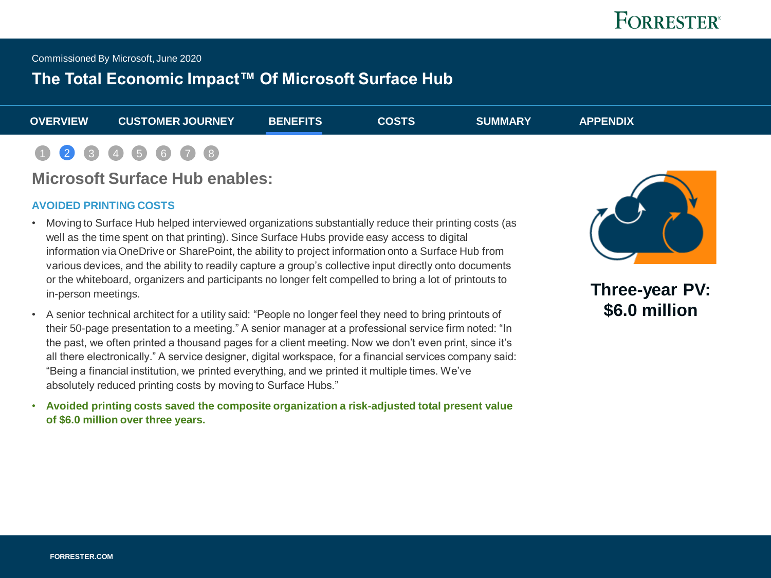Commissioned By Microsoft, June 2020

### **The Total Economic Impact™ Of Microsoft Surface Hub**

| <b>OVERVIEW</b> | <b>CUSTOMER JOURNEY</b> | <b>BENEFITS</b> | <b>COSTS</b> | <b>SUMMARY</b> | <b>APPENDIX</b> |  |
|-----------------|-------------------------|-----------------|--------------|----------------|-----------------|--|
|                 | 1 2 3 4 5 6 7 8         |                 |              |                |                 |  |

### **Microsoft Surface Hub enables:**

#### **AVOIDED PRINTING COSTS**

- Moving to Surface Hub helped interviewed organizations substantially reduce their printing costs (as well as the time spent on that printing). Since Surface Hubs provide easy access to digital information via OneDrive or SharePoint, the ability to project information onto a Surface Hub from various devices, and the ability to readily capture a group's collective input directly onto documents or the whiteboard, organizers and participants no longer felt compelled to bring a lot of printouts to in-person meetings.
- A senior technical architect for a utility said: "People no longer feel they need to bring printouts of their 50-page presentation to a meeting." A senior manager at a professional service firm noted: "In the past, we often printed a thousand pages for a client meeting. Now we don't even print, since it's all there electronically." A service designer, digital workspace, for a financial services company said: "Being a financial institution, we printed everything, and we printed it multiple times. We've absolutely reduced printing costs by moving to Surface Hubs."
- **Avoided printing costs saved the composite organization a risk-adjusted total present value of \$6.0 million over three years.**



**Three-year PV: \$6.0 million**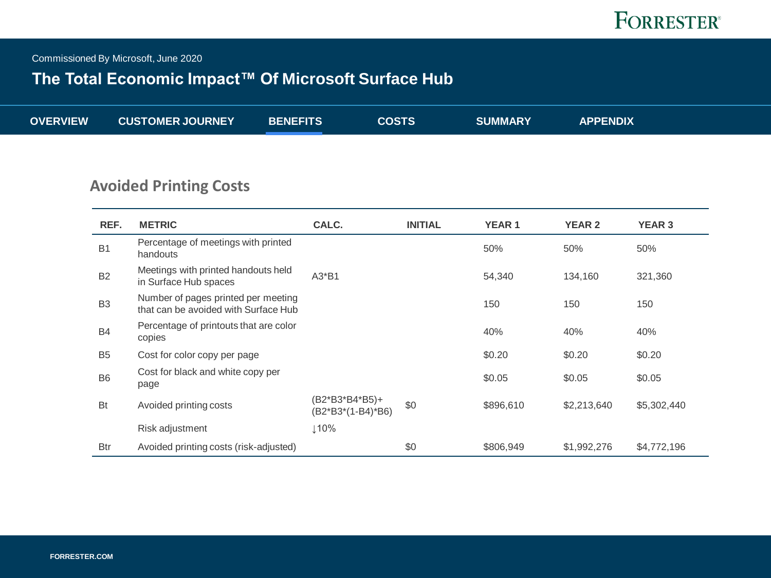Commissioned By Microsoft, June 2020

## **The Total Economic Impact™ Of Microsoft Surface Hub**

|  | <b>OVERVIEW</b> | <b>CUSTOMER JOURNEY</b> | <b>BENEFITS</b> | <b>COSTS</b> | <b>SUMMARY</b> | <b>APPENDIX</b> |
|--|-----------------|-------------------------|-----------------|--------------|----------------|-----------------|
|--|-----------------|-------------------------|-----------------|--------------|----------------|-----------------|

### **Avoided Printing Costs**

| REF.           | <b>METRIC</b>                                                               | CALC.                               | <b>INITIAL</b> | <b>YEAR1</b> | <b>YEAR 2</b> | <b>YEAR 3</b> |
|----------------|-----------------------------------------------------------------------------|-------------------------------------|----------------|--------------|---------------|---------------|
| <b>B1</b>      | Percentage of meetings with printed<br>handouts                             |                                     |                | 50%          | 50%           | 50%           |
| <b>B2</b>      | Meetings with printed handouts held<br>in Surface Hub spaces                | $A3*B1$                             |                | 54,340       | 134,160       | 321,360       |
| B <sub>3</sub> | Number of pages printed per meeting<br>that can be avoided with Surface Hub |                                     |                | 150          | 150           | 150           |
| <b>B4</b>      | Percentage of printouts that are color<br>copies                            |                                     |                | 40%          | 40%           | 40%           |
| B <sub>5</sub> | Cost for color copy per page                                                |                                     |                | \$0.20       | \$0.20        | \$0.20        |
| B <sub>6</sub> | Cost for black and white copy per<br>page                                   |                                     |                | \$0.05       | \$0.05        | \$0.05        |
| <b>Bt</b>      | Avoided printing costs                                                      | (B2*B3*B4*B5)+<br>(B2*B3*(1-B4)*B6) | \$0            | \$896,610    | \$2,213,640   | \$5,302,440   |
|                | Risk adjustment                                                             | ⊥10%                                |                |              |               |               |
| <b>Btr</b>     | Avoided printing costs (risk-adjusted)                                      |                                     | \$0            | \$806,949    | \$1,992,276   | \$4,772,196   |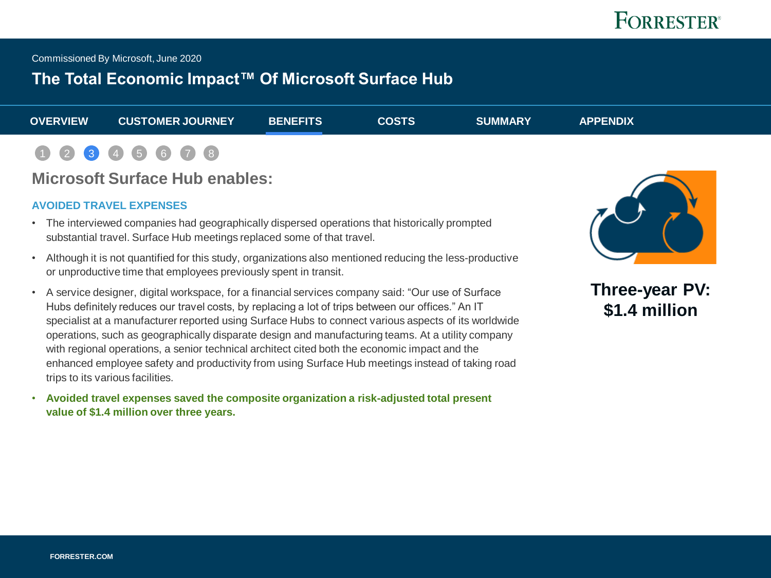Commissioned By Microsoft, June 2020

## **The Total Economic Impact™ Of Microsoft Surface Hub**

| <b>OVERVIEW</b> | <b>CUSTOMER JOURNEY</b> | <b>BENEFITS</b> | <b>COSTS</b> | <b>SUMMARY</b> | <b>APPENDIX</b> |  |
|-----------------|-------------------------|-----------------|--------------|----------------|-----------------|--|
|                 | 1 2 3 4 5 6 7 8         |                 |              |                |                 |  |

### **Microsoft Surface Hub enables:**

#### **AVOIDED TRAVEL EXPENSES**

- The interviewed companies had geographically dispersed operations that historically prompted substantial travel. Surface Hub meetings replaced some of that travel.
- Although it is not quantified for this study, organizations also mentioned reducing the less-productive or unproductive time that employees previously spent in transit.
- A service designer, digital workspace, for a financial services company said: "Our use of Surface Hubs definitely reduces our travel costs, by replacing a lot of trips between our offices." An IT specialist at a manufacturer reported using Surface Hubs to connect various aspects of its worldwide operations, such as geographically disparate design and manufacturing teams. At a utility company with regional operations, a senior technical architect cited both the economic impact and the enhanced employee safety and productivity from using Surface Hub meetings instead of taking road trips to its various facilities.
- **Avoided travel expenses saved the composite organization a risk-adjusted total present value of \$1.4 million over three years.**



**Three-year PV: \$1.4 million**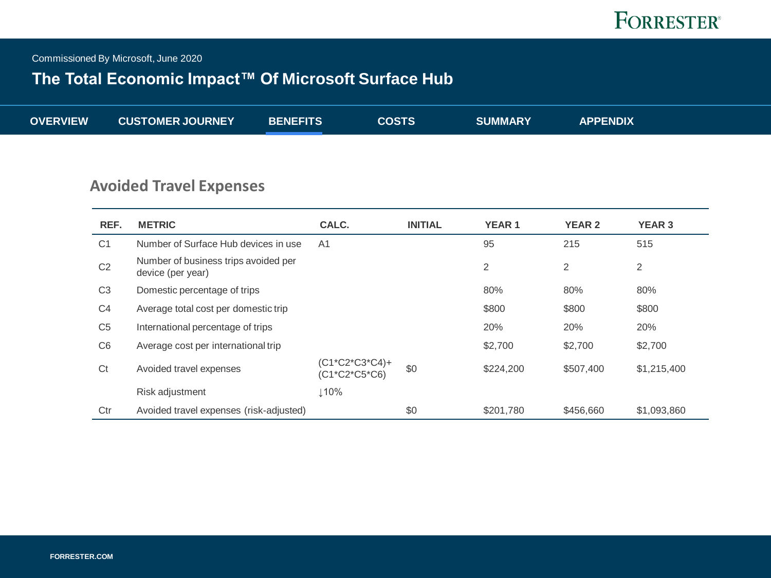Commissioned By Microsoft, June 2020

## **The Total Economic Impact™ Of Microsoft Surface Hub**

| <b>OVERVIEW</b><br><b>CUSTOMER JOURNEY</b><br><b>APPENDIX</b><br><b>COSTS</b><br><b>SUMMARY</b><br><b>BENEFITS</b> |
|--------------------------------------------------------------------------------------------------------------------|
|--------------------------------------------------------------------------------------------------------------------|

## **Avoided Travel Expenses**

| REF.           | <b>METRIC</b>                                             | CALC.                           | <b>INITIAL</b> | <b>YEAR1</b> | <b>YEAR 2</b> | <b>YEAR 3</b>  |
|----------------|-----------------------------------------------------------|---------------------------------|----------------|--------------|---------------|----------------|
| C <sub>1</sub> | Number of Surface Hub devices in use                      | A <sub>1</sub>                  |                | 95           | 215           | 515            |
| C <sub>2</sub> | Number of business trips avoided per<br>device (per year) |                                 |                | 2            | 2             | $\overline{2}$ |
| C <sub>3</sub> | Domestic percentage of trips                              |                                 |                | 80%          | 80%           | 80%            |
| C <sub>4</sub> | Average total cost per domestic trip                      |                                 |                | \$800        | \$800         | \$800          |
| C <sub>5</sub> | International percentage of trips                         |                                 |                | 20%          | 20%           | 20%            |
| C <sub>6</sub> | Average cost per international trip                       |                                 |                | \$2,700      | \$2,700       | \$2,700        |
| Ct             | Avoided travel expenses                                   | (C1*C2*C3*C4)+<br>(C1*C2*C5*C6) | \$0            | \$224,200    | \$507,400     | \$1,215,400    |
|                | Risk adjustment                                           | ↓10%                            |                |              |               |                |
| Ctr            | Avoided travel expenses (risk-adjusted)                   |                                 | \$0            | \$201,780    | \$456,660     | \$1,093,860    |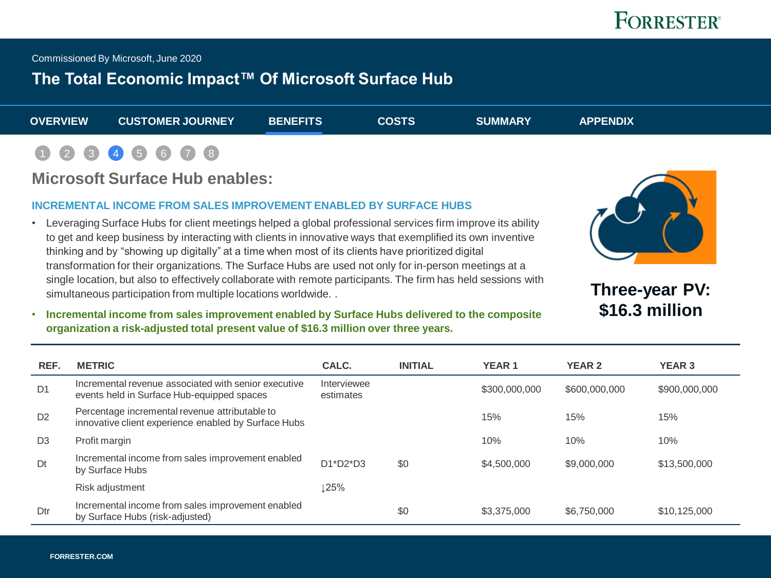<span id="page-11-0"></span>Commissioned By Microsoft, June 2020

### **The Total Economic Impact™ Of Microsoft Surface Hub**

| <b>OVERVIEW</b> | <b>CUSTOMER JOURNEY</b> | <b>BENEFITS</b> | <b>COSTS</b> | <b>SUMMARY</b> | <b>APPENDIX</b> |  |
|-----------------|-------------------------|-----------------|--------------|----------------|-----------------|--|
|                 | 1 2 3 4 5 6 7 8         |                 |              |                |                 |  |

### **Microsoft Surface Hub enables:**

#### **INCREMENTAL INCOME FROM SALES IMPROVEMENT ENABLED BY SURFACE HUBS**

• Leveraging Surface Hubs for client meetings helped a global professional services firm improve its ability to get and keep business by interacting with clients in innovative ways that exemplified its own inventive thinking and by "showing up digitally" at a time when most of its clients have prioritized digital transformation for their organizations. The Surface Hubs are used not only for in-person meetings at a single location, but also to effectively collaborate with remote participants. The firm has held sessions with simultaneous participation from multiple locations worldwide. .



**Three-year PV: \$16.3 million** 

• **Incremental income from sales improvement enabled by Surface Hubs delivered to the composite organization a risk-adjusted total present value of \$16.3 million over three years.** 

| REF.           | <b>METRIC</b>                                                                                          | CALC.                    | <b>INITIAL</b> | <b>YEAR1</b>  | <b>YEAR 2</b> | <b>YEAR 3</b> |
|----------------|--------------------------------------------------------------------------------------------------------|--------------------------|----------------|---------------|---------------|---------------|
| D <sub>1</sub> | Incremental revenue associated with senior executive<br>events held in Surface Hub-equipped spaces     | Interviewee<br>estimates |                | \$300,000,000 | \$600,000,000 | \$900,000,000 |
| D <sub>2</sub> | Percentage incremental revenue attributable to<br>innovative client experience enabled by Surface Hubs |                          |                | 15%           | 15%           | 15%           |
| D <sub>3</sub> | Profit margin                                                                                          |                          |                | 10%           | 10%           | 10%           |
| Dt             | Incremental income from sales improvement enabled<br>by Surface Hubs                                   | $D1*D2*D3$               | \$0            | \$4,500,000   | \$9,000,000   | \$13,500,000  |
|                | Risk adjustment                                                                                        | L25%                     |                |               |               |               |
| Dtr            | Incremental income from sales improvement enabled<br>by Surface Hubs (risk-adjusted)                   |                          | \$0            | \$3,375,000   | \$6,750,000   | \$10,125,000  |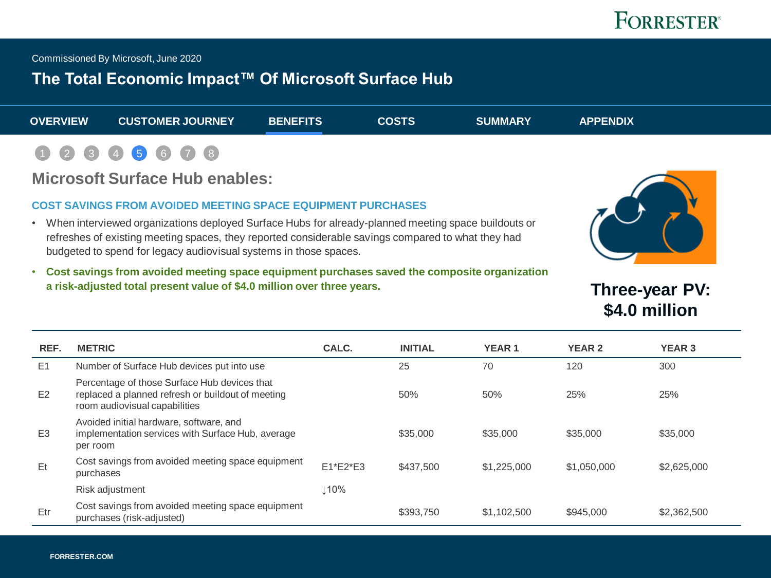Commissioned By Microsoft, June 2020

### **The Total Economic Impact™ Of Microsoft Surface Hub**

| <b>OVERVIEW</b> | <b>CUSTOMER JOURNEY</b> | <b>BENEFITS</b> | <b>COSTS</b> | <b>SUMMARY</b> | <b>APPENDIX</b> |  |
|-----------------|-------------------------|-----------------|--------------|----------------|-----------------|--|
|                 | 1 2 3 4 5 6 7 8         |                 |              |                |                 |  |

### **Microsoft Surface Hub enables:**

#### **COST SAVINGS FROM AVOIDED MEETING SPACE EQUIPMENT PURCHASES**

- When interviewed organizations deployed Surface Hubs for already-planned meeting space buildouts or refreshes of existing meeting spaces, they reported considerable savings compared to what they had budgeted to spend for legacy audiovisual systems in those spaces.
- 
- **Cost savings from avoided meeting space equipment purchases saved the composite organization a risk-adjusted total present value of \$4.0 million over three years.**

**Three-year PV: \$4.0 million** 

| REF.           | <b>METRIC</b>                                                                                                                      | CALC.       | <b>INITIAL</b> | <b>YEAR1</b> | <b>YEAR 2</b> | <b>YEAR 3</b> |
|----------------|------------------------------------------------------------------------------------------------------------------------------------|-------------|----------------|--------------|---------------|---------------|
| E1             | Number of Surface Hub devices put into use                                                                                         |             | 25             | 70           | 120           | 300           |
| E <sub>2</sub> | Percentage of those Surface Hub devices that<br>replaced a planned refresh or buildout of meeting<br>room audiovisual capabilities |             | 50%            | 50%          | 25%           | 25%           |
| E <sub>3</sub> | Avoided initial hardware, software, and<br>implementation services with Surface Hub, average<br>per room                           |             | \$35,000       | \$35,000     | \$35,000      | \$35,000      |
| Et             | Cost savings from avoided meeting space equipment<br>purchases                                                                     | $E1*E2*E3$  | \$437,500      | \$1,225,000  | \$1,050,000   | \$2,625,000   |
|                | Risk adjustment                                                                                                                    | $\perp$ 10% |                |              |               |               |
| Etr            | Cost savings from avoided meeting space equipment<br>purchases (risk-adjusted)                                                     |             | \$393.750      | \$1,102,500  | \$945,000     | \$2,362,500   |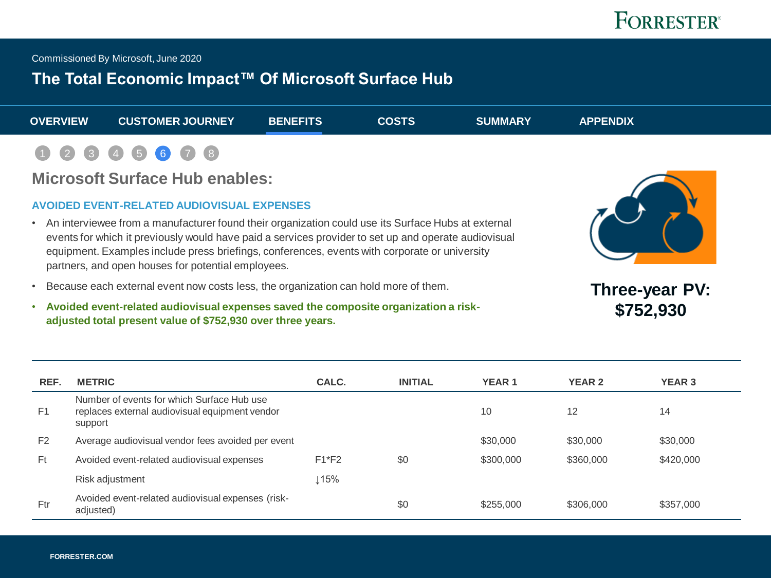Commissioned By Microsoft, June 2020

## **The Total Economic Impact™ Of Microsoft Surface Hub**

| <b>OVERVIEW</b> | <b>CUSTOMER JOURNEY</b> | <b>BENEFITS</b> | <b>COSTS</b> | <b>SUMMARY</b> | <b>APPENDIX</b> |  |
|-----------------|-------------------------|-----------------|--------------|----------------|-----------------|--|
|                 | 1 2 3 4 5 6 7 8         |                 |              |                |                 |  |

### **Microsoft Surface Hub enables:**

#### **AVOIDED EVENT-RELATED AUDIOVISUAL EXPENSES**

- An interviewee from a manufacturer found their organization could use its Surface Hubs at external events for which it previously would have paid a services provider to set up and operate audiovisual equipment. Examples include press briefings, conferences, events with corporate or university partners, and open houses for potential employees.
- Because each external event now costs less, the organization can hold more of them.
- **Avoided event-related audiovisual expenses saved the composite organization a riskadjusted total present value of \$752,930 over three years.**



**Three-year PV: \$752,930**

| REF.           | <b>METRIC</b>                                                                                           | CALC.   | <b>INITIAL</b> | <b>YEAR1</b> | <b>YEAR 2</b> | <b>YEAR 3</b> |
|----------------|---------------------------------------------------------------------------------------------------------|---------|----------------|--------------|---------------|---------------|
| F <sub>1</sub> | Number of events for which Surface Hub use<br>replaces external audiovisual equipment vendor<br>support |         |                | 10           | 12            | 14            |
| F <sub>2</sub> | Average audiovisual vendor fees avoided per event                                                       |         |                | \$30,000     | \$30,000      | \$30,000      |
| Ft             | Avoided event-related audiovisual expenses                                                              | $F1*F2$ | \$0            | \$300,000    | \$360,000     | \$420,000     |
|                | Risk adjustment                                                                                         | .15%    |                |              |               |               |
| Ftr            | Avoided event-related audiovisual expenses (risk-<br>adjusted)                                          |         | \$0            | \$255,000    | \$306,000     | \$357,000     |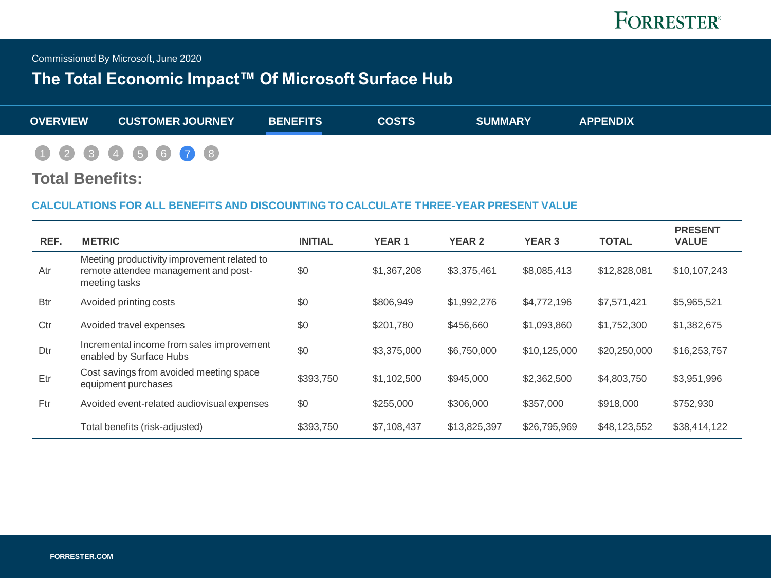

<span id="page-14-0"></span>Commissioned By Microsoft, June 2020

## **The Total Economic Impact™ Of Microsoft Surface Hub**

| <b>OVERVIEW</b> | <b>CUSTOMER JOURNEY</b> | <b>BENEFITS</b> | <b>COSTS</b> | <b>SUMMARY</b> | <b>APPENDIX</b> |
|-----------------|-------------------------|-----------------|--------------|----------------|-----------------|
|                 | 0 2 3 4 5 6 7 8         |                 |              |                |                 |

#### **Total Benefits:**

#### **CALCULATIONS FOR ALL BENEFITS AND DISCOUNTING TO CALCULATE THREE-YEAR PRESENT VALUE**

| REF.       | <b>METRIC</b>                                                                                        | <b>INITIAL</b> | <b>YEAR 1</b> | <b>YEAR 2</b> | <b>YEAR 3</b> | <b>TOTAL</b> | <b>PRESENT</b><br><b>VALUE</b> |
|------------|------------------------------------------------------------------------------------------------------|----------------|---------------|---------------|---------------|--------------|--------------------------------|
| Atr        | Meeting productivity improvement related to<br>remote attendee management and post-<br>meeting tasks | \$0            | \$1,367,208   | \$3,375,461   | \$8,085,413   | \$12,828,081 | \$10,107,243                   |
| <b>Btr</b> | Avoided printing costs                                                                               | \$0            | \$806,949     | \$1,992,276   | \$4,772,196   | \$7,571,421  | \$5,965,521                    |
| Ctr        | Avoided travel expenses                                                                              | \$0            | \$201,780     | \$456,660     | \$1,093,860   | \$1,752,300  | \$1,382,675                    |
| Dtr        | Incremental income from sales improvement<br>enabled by Surface Hubs                                 | \$0            | \$3,375,000   | \$6,750,000   | \$10,125,000  | \$20,250,000 | \$16,253,757                   |
| Etr        | Cost savings from avoided meeting space<br>equipment purchases                                       | \$393.750      | \$1,102,500   | \$945,000     | \$2,362,500   | \$4,803,750  | \$3,951,996                    |
| Ftr        | Avoided event-related audiovisual expenses                                                           | \$0            | \$255,000     | \$306,000     | \$357,000     | \$918,000    | \$752,930                      |
|            | Total benefits (risk-adjusted)                                                                       | \$393,750      | \$7,108,437   | \$13,825,397  | \$26,795,969  | \$48,123,552 | \$38,414,122                   |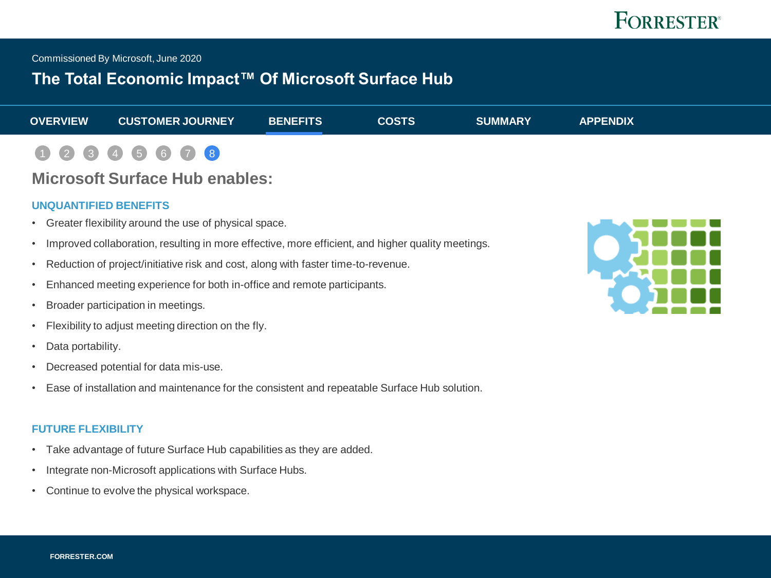<span id="page-15-0"></span>Commissioned By Microsoft, June 2020

### **The Total Economic Impact™ Of Microsoft Surface Hub**

| <b>OVERVIEW</b> | <b>CUSTOMER JOURNEY</b> | <b>BENEFITS</b> | <b>COSTS</b> | <b>SUMMARY</b> | <b>APPENDIX</b> |  |
|-----------------|-------------------------|-----------------|--------------|----------------|-----------------|--|
|                 | 1 2 3 4 5 6 7 8         |                 |              |                |                 |  |

## **Microsoft Surface Hub enables:**

#### **UNQUANTIFIED BENEFITS**

- Greater flexibility around the use of physical space.
- Improved collaboration, resulting in more effective, more efficient, and higher quality meetings.
- Reduction of project/initiative risk and cost, along with faster time-to-revenue.
- Enhanced meeting experience for both in-office and remote participants.
- Broader participation in meetings.
- Flexibility to adjust meeting direction on the fly.
- Data portability.
- Decreased potential for data mis-use.
- Ease of installation and maintenance for the consistent and repeatable Surface Hub solution.

#### **FUTURE FLEXIBILITY**

- Take advantage of future Surface Hub capabilities as they are added.
- Integrate non-Microsoft applications with Surface Hubs.
- Continue to evolve the physical workspace.

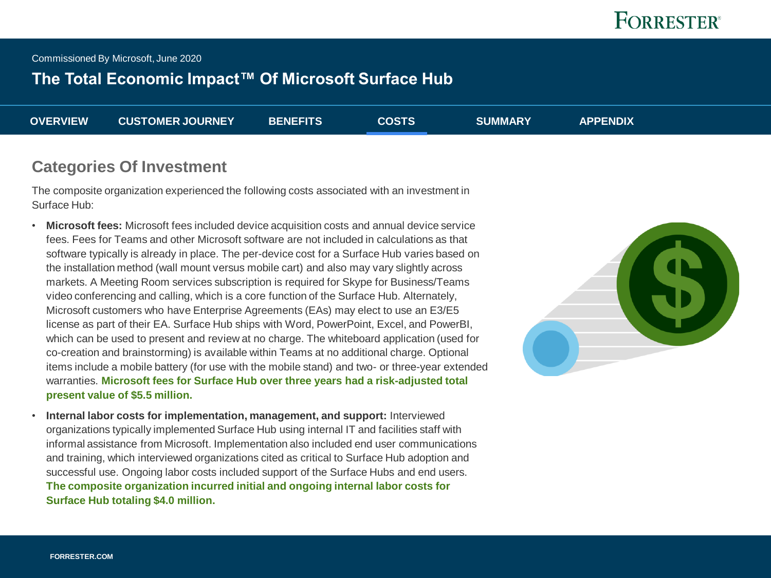<span id="page-16-0"></span>Commissioned By Microsoft, June 2020

## **The Total Economic Impact™ Of Microsoft Surface Hub**

| <b>OVERVIEW</b> | <b>CUSTOMER JOURNEY</b> | <b>BENEFITS</b> | <b>COSTS</b> | <b>SUMMARY</b> | <b>APPENDIX</b> |
|-----------------|-------------------------|-----------------|--------------|----------------|-----------------|
|                 |                         |                 |              |                |                 |

#### **Categories Of Investment**

The composite organization experienced the following costs associated with an investment in Surface Hub:

- **Microsoft fees:** Microsoft fees included device acquisition costs and annual device service fees. Fees for Teams and other Microsoft software are not included in calculations as that software typically is already in place. The per-device cost for a Surface Hub varies based on the installation method (wall mount versus mobile cart) and also may vary slightly across markets. A Meeting Room services subscription is required for Skype for Business/Teams video conferencing and calling, which is a core function of the Surface Hub. Alternately, Microsoft customers who have Enterprise Agreements (EAs) may elect to use an E3/E5 license as part of their EA. Surface Hub ships with Word, PowerPoint, Excel, and PowerBI, which can be used to present and review at no charge. The whiteboard application (used for co-creation and brainstorming) is available within Teams at no additional charge. Optional items include a mobile battery (for use with the mobile stand) and two- or three-year extended warranties. **Microsoft fees for Surface Hub over three years had a risk-adjusted total present value of \$5.5 million.**
- **Internal labor costs for implementation, management, and support:** Interviewed organizations typically implemented Surface Hub using internal IT and facilities staff with informal assistance from Microsoft. Implementation also included end user communications and training, which interviewed organizations cited as critical to Surface Hub adoption and successful use. Ongoing labor costs included support of the Surface Hubs and end users. **The composite organization incurred initial and ongoing internal labor costs for Surface Hub totaling \$4.0 million.**

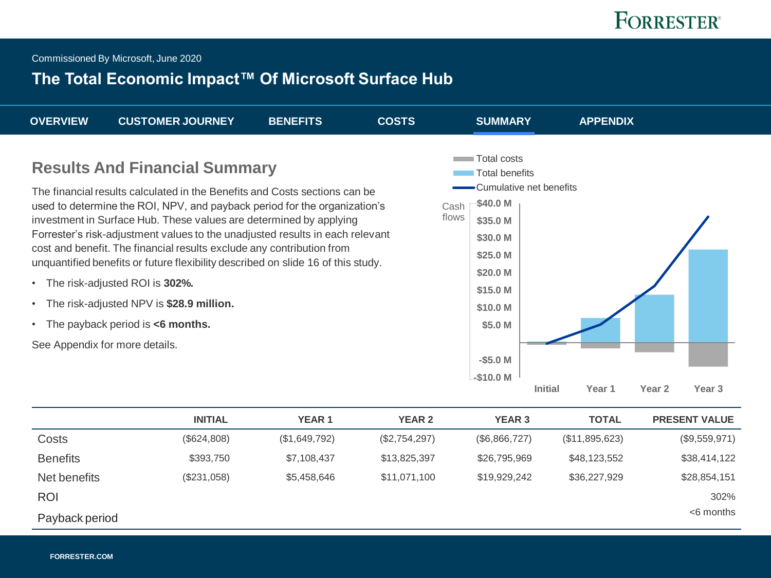<span id="page-17-0"></span>Commissioned By Microsoft, June 2020

## **The Total Economic Impact™ Of Microsoft Surface Hub**

| <b>OVERVIEW</b>                                                                                                                                                                                                                                                                                                                                                                                                                                                                                                                                                                                                                                                                          | <b>CUSTOMER JOURNEY</b> | <b>BENEFITS</b>   | <b>COSTS</b>  | <b>SUMMARY</b>                                                                                                                                                                    |                                            | <b>APPENDIX</b>   |                   |                      |
|------------------------------------------------------------------------------------------------------------------------------------------------------------------------------------------------------------------------------------------------------------------------------------------------------------------------------------------------------------------------------------------------------------------------------------------------------------------------------------------------------------------------------------------------------------------------------------------------------------------------------------------------------------------------------------------|-------------------------|-------------------|---------------|-----------------------------------------------------------------------------------------------------------------------------------------------------------------------------------|--------------------------------------------|-------------------|-------------------|----------------------|
| <b>Results And Financial Summary</b><br>The financial results calculated in the Benefits and Costs sections can be<br>used to determine the ROI, NPV, and payback period for the organization's<br>investment in Surface Hub. These values are determined by applying<br>Forrester's risk-adjustment values to the unadjusted results in each relevant<br>cost and benefit. The financial results exclude any contribution from<br>unquantified benefits or future flexibility described on slide 16 of this study.<br>The risk-adjusted ROI is 302%.<br>$\bullet$<br>The risk-adjusted NPV is \$28.9 million.<br>• The payback period is $<6$ months.<br>See Appendix for more details. |                         |                   |               | Total costs<br><b>Total benefits</b><br>\$40.0 M<br>Cash<br>flows<br>\$35.0 M<br>\$30.0 M<br>\$25.0 M<br>\$20.0 M<br>\$15.0 M<br>\$10.0 M<br>\$5.0 M<br>$-$ \$5.0 M<br>$-$10.0 M$ | •Cumulative net benefits<br><b>Initial</b> | Year <sub>1</sub> | Year <sub>2</sub> | Year <sub>3</sub>    |
|                                                                                                                                                                                                                                                                                                                                                                                                                                                                                                                                                                                                                                                                                          | <b>INITIAL</b>          | YEAR <sub>1</sub> | <b>YEAR 2</b> | <b>YEAR 3</b>                                                                                                                                                                     |                                            | <b>TOTAL</b>      |                   | <b>PRESENT VALUE</b> |
| Costs                                                                                                                                                                                                                                                                                                                                                                                                                                                                                                                                                                                                                                                                                    | $(\$624,808)$           | (\$1,649,792)     | (\$2,754,297) | (\$6,866,727)                                                                                                                                                                     |                                            | (\$11,895,623)    |                   | (\$9,559,971)        |
| <b>Benefits</b>                                                                                                                                                                                                                                                                                                                                                                                                                                                                                                                                                                                                                                                                          | \$393,750               | \$7,108,437       | \$13,825,397  | \$26,795,969                                                                                                                                                                      |                                            | \$48,123,552      |                   | \$38,414,122         |
| Net benefits                                                                                                                                                                                                                                                                                                                                                                                                                                                                                                                                                                                                                                                                             | $(\$231,058)$           | \$5,458,646       | \$11,071,100  | \$19,929,242                                                                                                                                                                      |                                            | \$36,227,929      |                   | \$28,854,151         |
| <b>ROI</b>                                                                                                                                                                                                                                                                                                                                                                                                                                                                                                                                                                                                                                                                               |                         |                   |               |                                                                                                                                                                                   |                                            |                   |                   | 302%                 |
| Payback period                                                                                                                                                                                                                                                                                                                                                                                                                                                                                                                                                                                                                                                                           |                         |                   |               |                                                                                                                                                                                   |                                            |                   |                   | $<$ 6 months         |